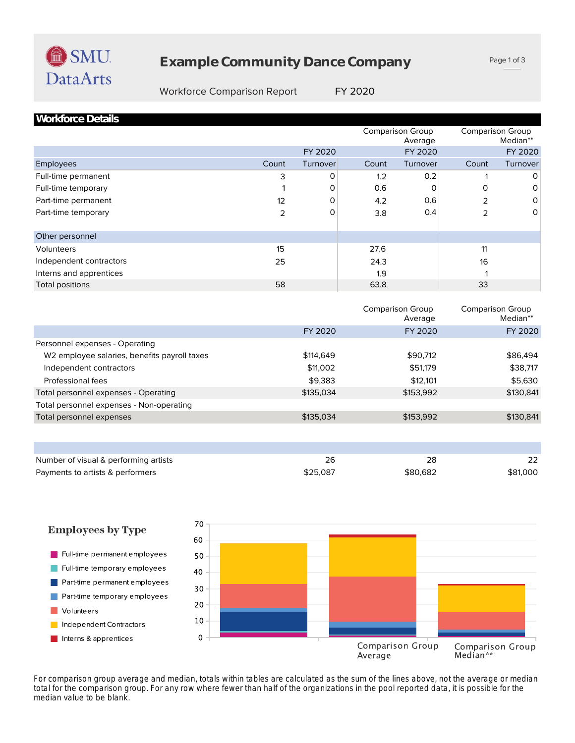

# **Example Community Dance Company**

Page 1 of 3

### Workforce Comparison Report FY 2020

| <b>Workforce Details</b> |       |          |       |                                    |       |                                     |
|--------------------------|-------|----------|-------|------------------------------------|-------|-------------------------------------|
|                          |       |          |       | <b>Comparison Group</b><br>Average |       | <b>Comparison Group</b><br>Median** |
|                          |       | FY 2020  |       | FY 2020                            |       | FY 2020                             |
| Employees                | Count | Turnover | Count | Turnover                           | Count | Turnover                            |
| Full-time permanent      | 3     | 0        | 1.2   | 0.2                                |       | $\circ$                             |
| Full-time temporary      |       | 0        | 0.6   | O                                  | 0     | 0                                   |
| Part-time permanent      | 12    | 0        | 4.2   | 0.6                                | 2     | 0                                   |
| Part-time temporary      | 2     | 0        | 3.8   | 0.4                                | 2     | 0                                   |
| Other personnel          |       |          |       |                                    |       |                                     |
| <b>Volunteers</b>        | 15    |          | 27.6  |                                    | 11    |                                     |
| Independent contractors  | 25    |          | 24.3  |                                    | 16    |                                     |
| Interns and apprentices  |       |          | 1.9   |                                    |       |                                     |
| Total positions          | 58    |          | 63.8  |                                    | 33    |                                     |

|                                                          |           | <b>Comparison Group</b><br>Average | <b>Comparison Group</b><br>Median** |
|----------------------------------------------------------|-----------|------------------------------------|-------------------------------------|
|                                                          | FY 2020   | FY 2020                            | FY 2020                             |
| Personnel expenses - Operating                           |           |                                    |                                     |
| W <sub>2</sub> employee salaries, benefits payroll taxes | \$114,649 | \$90.712                           | \$86,494                            |
| Independent contractors                                  | \$11,002  | \$51,179                           | \$38,717                            |
| Professional fees                                        | \$9,383   | \$12,101                           | \$5,630                             |
| Total personnel expenses - Operating                     | \$135,034 | \$153,992                          | \$130,841                           |
| Total personnel expenses - Non-operating                 |           |                                    |                                     |
| Total personnel expenses                                 | \$135,034 | \$153,992                          | \$130,841                           |
|                                                          |           |                                    |                                     |

| Number of visual & performing artists |          | 28       | 22       |
|---------------------------------------|----------|----------|----------|
| Payments to artists & performers      | \$25,087 | \$80,682 | \$81,000 |



*median value to be blank. total for the comparison group. For any row where fewer than half of the organizations in the pool reported data, it is possible for the For comparison group average and median, totals within tables are calculated as the sum of the lines above, not the average or median*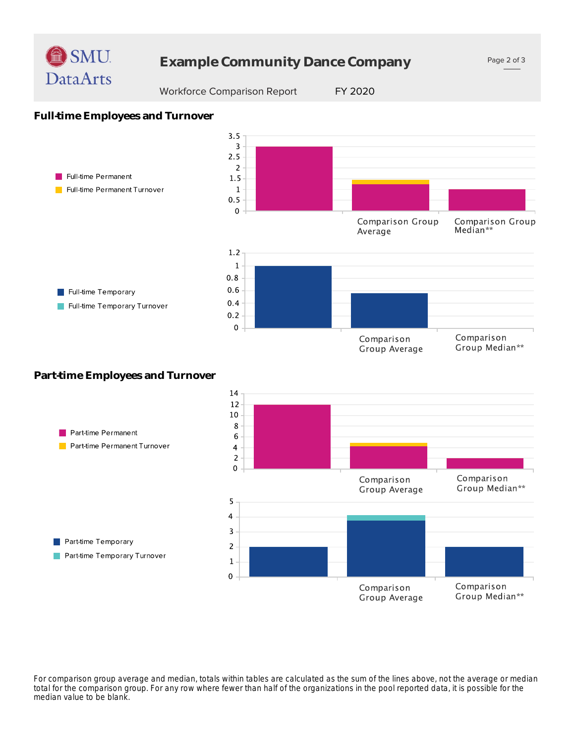

# **Example Community Dance Company**

Page 2 of 3

### Workforce Comparison Report FY 2020

Group Average

## **Full-time Employees and Turnover**



## **Part-time Employees and Turnover**



*median value to be blank. total for the comparison group. For any row where fewer than half of the organizations in the pool reported data, it is possible for the For comparison group average and median, totals within tables are calculated as the sum of the lines above, not the average or median*